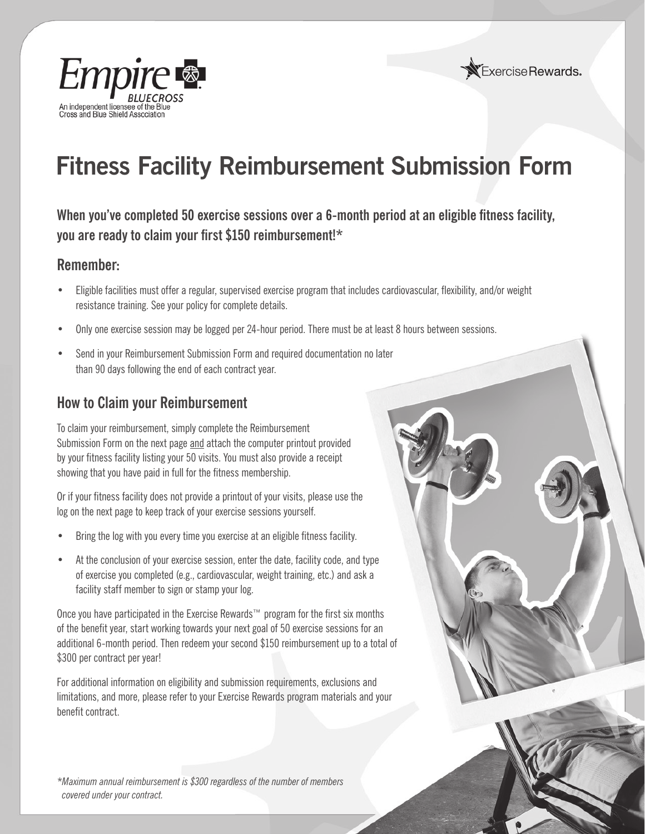



# **Fitness Facility Reimbursement Submission Form**

When you've completed 50 exercise sessions over a 6-month period at an eligible fitness facility, **you are ready to claim your first \$150 reimbursement!\*** 

## **Remember:**

- Eligible facilities must offer a regular, supervised exercise program that includes cardiovascular, flexibility, and/or weight resistance training. See your policy for complete details.
- Only one exercise session may be logged per 24-hour period. There must be at least 8 hours between sessions.
- Send in your Reimbursement Submission Form and required documentation no later than 90 days following the end of each contract year.

# **How to Claim your Reimbursement**

To claim your reimbursement, simply complete the Reimbursement Submission Form on the next page and attach the computer printout provided by your fitness facility listing your 50 visits. You must also provide a receipt showing that you have paid in full for the fitness membership.

Or if your fitness facility does not provide a printout of your visits, please use the log on the next page to keep track of your exercise sessions yourself.

- Bring the log with you every time you exercise at an eligible fitness facility.
- At the conclusion of your exercise session, enter the date, facility code, and type of exercise you completed (e.g., cardiovascular, weight training, etc.) and ask a facility staff member to sign or stamp your log.

Once you have participated in the Exercise Rewards™ program for the first six months of the benefit year, start working towards your next goal of 50 exercise sessions for an additional 6-month period. Then redeem your second \$150 reimbursement up to a total of \$300 per contract per year!

For additional information on eligibility and submission requirements, exclusions and limitations, and more, please refer to your Exercise Rewards program materials and your benefit contract.

*\* Maximum annual reimbursement is \$300 regardless of the number of members covered under your contract.*